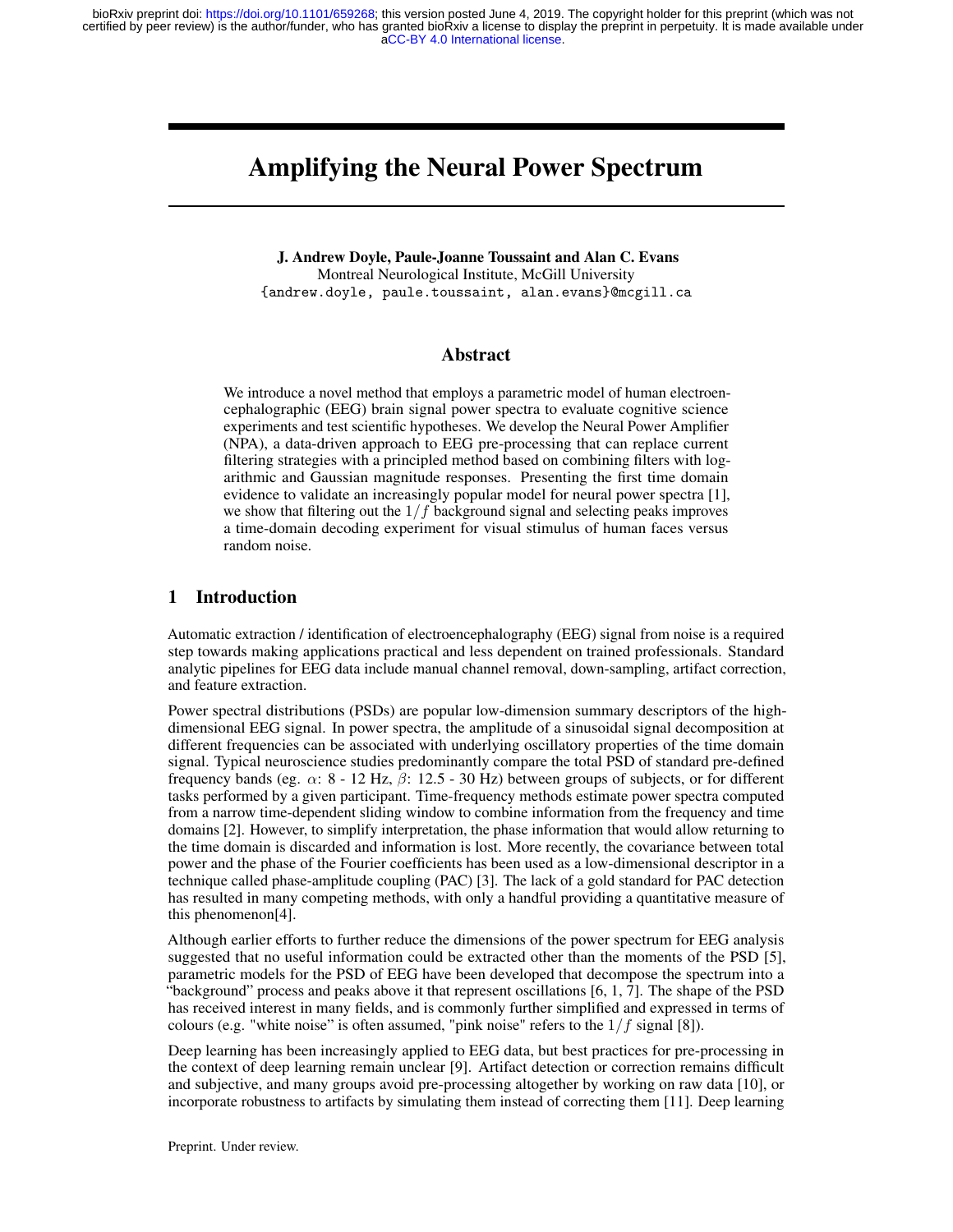[aCC-BY 4.0 International license.](http://creativecommons.org/licenses/by/4.0/) certified by peer review) is the author/funder, who has granted bioRxiv a license to display the preprint in perpetuity. It is made available under bioRxiv preprint doi: [https://doi.org/10.1101/659268;](https://doi.org/10.1101/659268) this version posted June 4, 2019. The copyright holder for this preprint (which was not

# Amplifying the Neural Power Spectrum

J. Andrew Doyle, Paule-Joanne Toussaint and Alan C. Evans

Montreal Neurological Institute, McGill University {andrew.doyle, paule.toussaint, alan.evans}@mcgill.ca

# Abstract

We introduce a novel method that employs a parametric model of human electroencephalographic (EEG) brain signal power spectra to evaluate cognitive science experiments and test scientific hypotheses. We develop the Neural Power Amplifier (NPA), a data-driven approach to EEG pre-processing that can replace current filtering strategies with a principled method based on combining filters with logarithmic and Gaussian magnitude responses. Presenting the first time domain evidence to validate an increasingly popular model for neural power spectra [1], we show that filtering out the  $1/f$  background signal and selecting peaks improves a time-domain decoding experiment for visual stimulus of human faces versus random noise.

## 1 Introduction

Automatic extraction / identification of electroencephalography (EEG) signal from noise is a required step towards making applications practical and less dependent on trained professionals. Standard analytic pipelines for EEG data include manual channel removal, down-sampling, artifact correction, and feature extraction.

Power spectral distributions (PSDs) are popular low-dimension summary descriptors of the highdimensional EEG signal. In power spectra, the amplitude of a sinusoidal signal decomposition at different frequencies can be associated with underlying oscillatory properties of the time domain signal. Typical neuroscience studies predominantly compare the total PSD of standard pre-defined frequency bands (eg.  $\alpha$ : 8 - 12 Hz,  $\beta$ : 12.5 - 30 Hz) between groups of subjects, or for different tasks performed by a given participant. Time-frequency methods estimate power spectra computed from a narrow time-dependent sliding window to combine information from the frequency and time domains [2]. However, to simplify interpretation, the phase information that would allow returning to the time domain is discarded and information is lost. More recently, the covariance between total power and the phase of the Fourier coefficients has been used as a low-dimensional descriptor in a technique called phase-amplitude coupling (PAC) [3]. The lack of a gold standard for PAC detection has resulted in many competing methods, with only a handful providing a quantitative measure of this phenomenon[4].

Although earlier efforts to further reduce the dimensions of the power spectrum for EEG analysis suggested that no useful information could be extracted other than the moments of the PSD [5], parametric models for the PSD of EEG have been developed that decompose the spectrum into a "background" process and peaks above it that represent oscillations [6, 1, 7]. The shape of the PSD has received interest in many fields, and is commonly further simplified and expressed in terms of colours (e.g. "white noise" is often assumed, "pink noise" refers to the  $1/f$  signal [8]).

Deep learning has been increasingly applied to EEG data, but best practices for pre-processing in the context of deep learning remain unclear [9]. Artifact detection or correction remains difficult and subjective, and many groups avoid pre-processing altogether by working on raw data [10], or incorporate robustness to artifacts by simulating them instead of correcting them [11]. Deep learning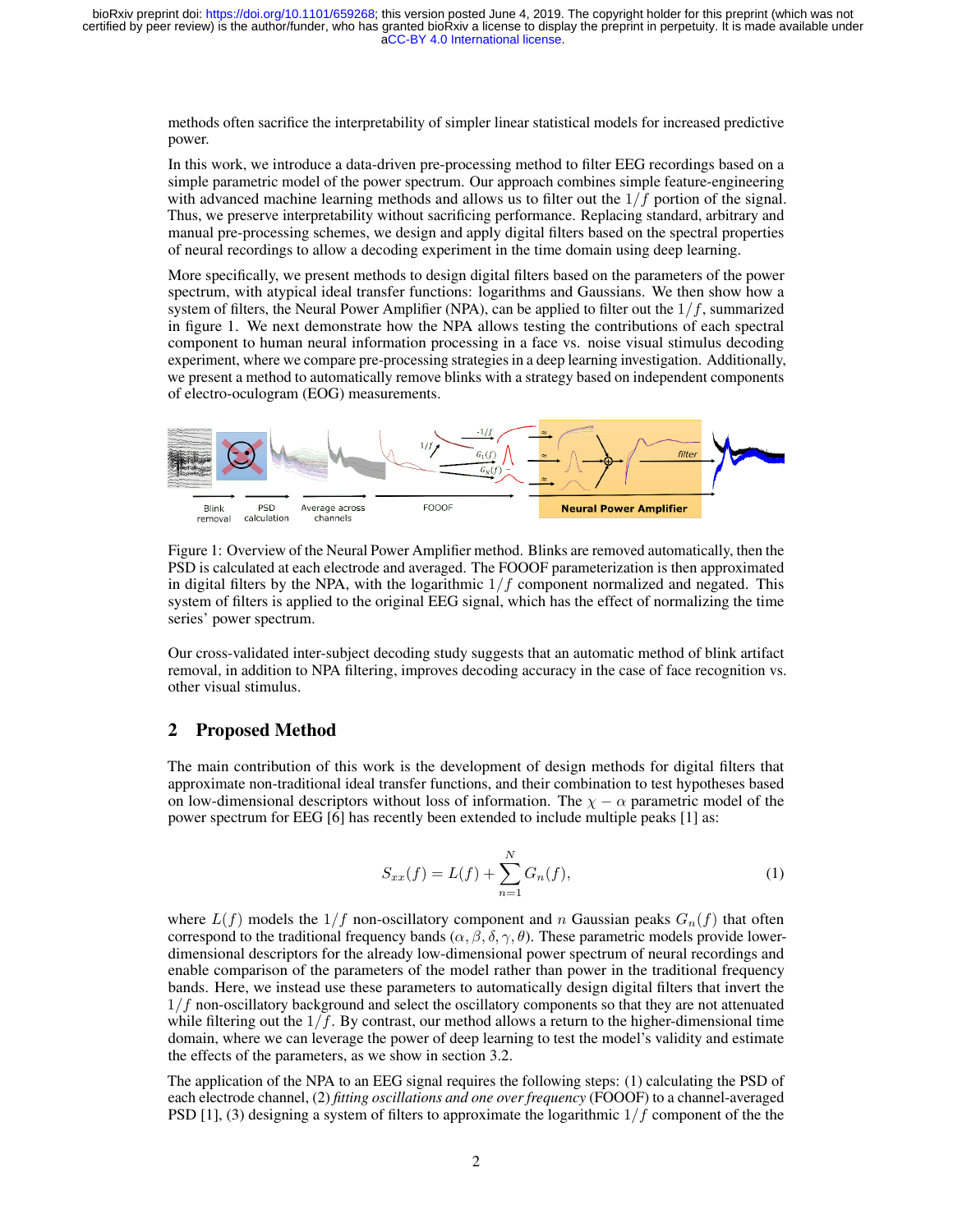methods often sacrifice the interpretability of simpler linear statistical models for increased predictive power.

In this work, we introduce a data-driven pre-processing method to filter EEG recordings based on a simple parametric model of the power spectrum. Our approach combines simple feature-engineering with advanced machine learning methods and allows us to filter out the  $1/f$  portion of the signal. Thus, we preserve interpretability without sacrificing performance. Replacing standard, arbitrary and manual pre-processing schemes, we design and apply digital filters based on the spectral properties of neural recordings to allow a decoding experiment in the time domain using deep learning.

More specifically, we present methods to design digital filters based on the parameters of the power spectrum, with atypical ideal transfer functions: logarithms and Gaussians. We then show how a system of filters, the Neural Power Amplifier (NPA), can be applied to filter out the  $1/f$ , summarized in figure 1. We next demonstrate how the NPA allows testing the contributions of each spectral component to human neural information processing in a face vs. noise visual stimulus decoding experiment, where we compare pre-processing strategies in a deep learning investigation. Additionally, we present a method to automatically remove blinks with a strategy based on independent components of electro-oculogram (EOG) measurements.



Figure 1: Overview of the Neural Power Amplifier method. Blinks are removed automatically, then the PSD is calculated at each electrode and averaged. The FOOOF parameterization is then approximated in digital filters by the NPA, with the logarithmic  $1/f$  component normalized and negated. This system of filters is applied to the original EEG signal, which has the effect of normalizing the time series' power spectrum.

Our cross-validated inter-subject decoding study suggests that an automatic method of blink artifact removal, in addition to NPA filtering, improves decoding accuracy in the case of face recognition vs. other visual stimulus.

## 2 Proposed Method

The main contribution of this work is the development of design methods for digital filters that approximate non-traditional ideal transfer functions, and their combination to test hypotheses based on low-dimensional descriptors without loss of information. The  $\chi - \alpha$  parametric model of the power spectrum for EEG [6] has recently been extended to include multiple peaks [1] as:

$$
S_{xx}(f) = L(f) + \sum_{n=1}^{N} G_n(f),
$$
\n(1)

where  $L(f)$  models the  $1/f$  non-oscillatory component and n Gaussian peaks  $G_n(f)$  that often correspond to the traditional frequency bands ( $\alpha$ ,  $\beta$ ,  $\delta$ ,  $\gamma$ ,  $\theta$ ). These parametric models provide lowerdimensional descriptors for the already low-dimensional power spectrum of neural recordings and enable comparison of the parameters of the model rather than power in the traditional frequency bands. Here, we instead use these parameters to automatically design digital filters that invert the  $1/f$  non-oscillatory background and select the oscillatory components so that they are not attenuated while filtering out the  $1/f$ . By contrast, our method allows a return to the higher-dimensional time domain, where we can leverage the power of deep learning to test the model's validity and estimate the effects of the parameters, as we show in section 3.2.

The application of the NPA to an EEG signal requires the following steps: (1) calculating the PSD of each electrode channel, (2) *fitting oscillations and one over frequency* (FOOOF) to a channel-averaged PSD [1], (3) designing a system of filters to approximate the logarithmic  $1/f$  component of the the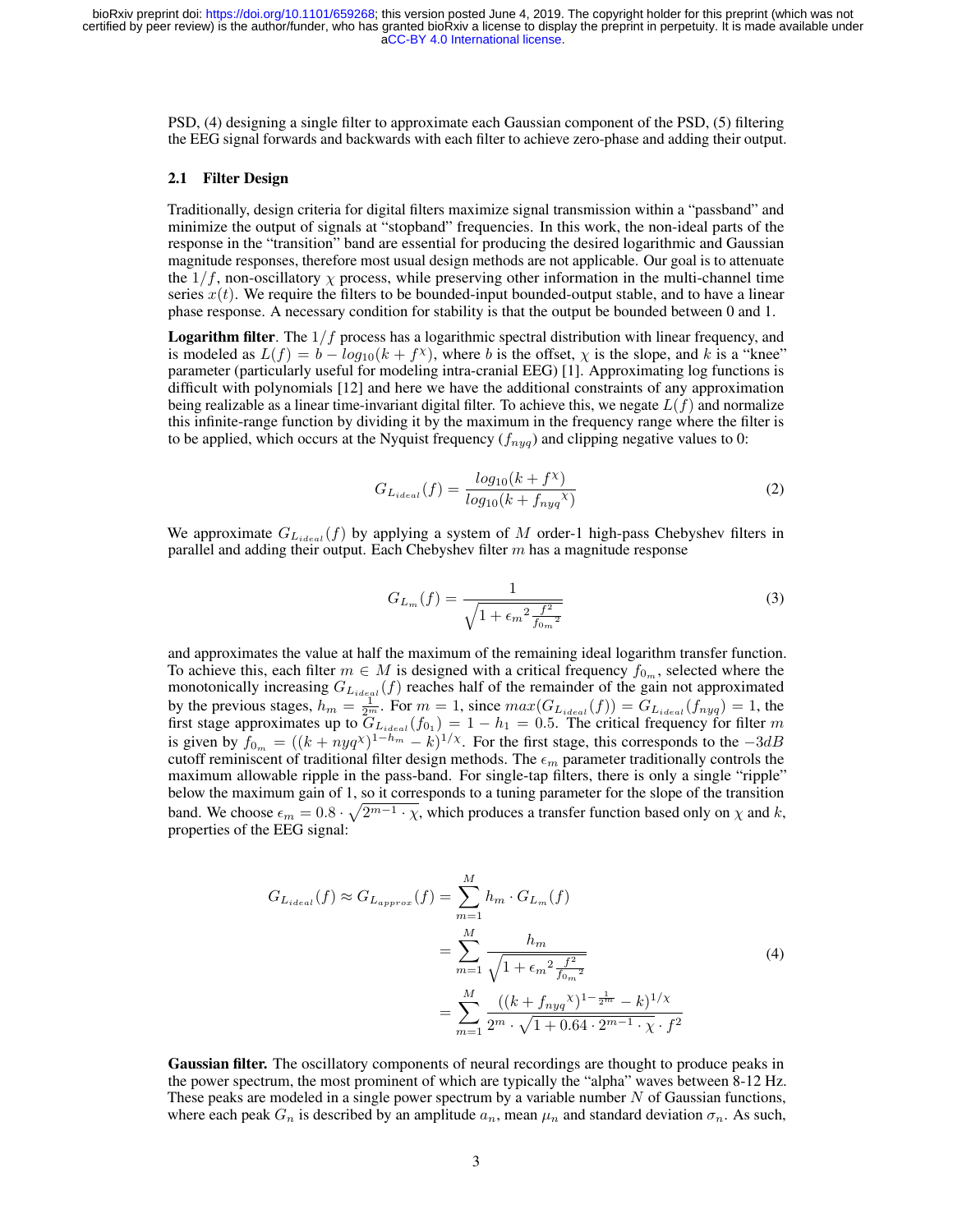PSD, (4) designing a single filter to approximate each Gaussian component of the PSD, (5) filtering the EEG signal forwards and backwards with each filter to achieve zero-phase and adding their output.

#### 2.1 Filter Design

Traditionally, design criteria for digital filters maximize signal transmission within a "passband" and minimize the output of signals at "stopband" frequencies. In this work, the non-ideal parts of the response in the "transition" band are essential for producing the desired logarithmic and Gaussian magnitude responses, therefore most usual design methods are not applicable. Our goal is to attenuate the  $1/f$ , non-oscillatory  $\chi$  process, while preserving other information in the multi-channel time series  $x(t)$ . We require the filters to be bounded-input bounded-output stable, and to have a linear phase response. A necessary condition for stability is that the output be bounded between 0 and 1.

**Logarithm filter**. The  $1/f$  process has a logarithmic spectral distribution with linear frequency, and is modeled as  $L(f) = b - log_{10}(k + f^{\chi})$ , where b is the offset,  $\chi$  is the slope, and k is a "knee" parameter (particularly useful for modeling intra-cranial EEG) [1]. Approximating log functions is difficult with polynomials [12] and here we have the additional constraints of any approximation being realizable as a linear time-invariant digital filter. To achieve this, we negate  $L(f)$  and normalize this infinite-range function by dividing it by the maximum in the frequency range where the filter is to be applied, which occurs at the Nyquist frequency  $(f_{nya})$  and clipping negative values to 0:

$$
G_{L_{ideal}}(f) = \frac{log_{10}(k + f^{\chi})}{log_{10}(k + f_{nyq}^{\chi})}
$$
\n(2)

We approximate  $G_{L_{ideal}}(f)$  by applying a system of M order-1 high-pass Chebyshev filters in parallel and adding their output. Each Chebyshev filter  $m$  has a magnitude response

$$
G_{L_m}(f) = \frac{1}{\sqrt{1 + \epsilon_m^2 \frac{f^2}{f_{0_m}^2}}}
$$
(3)

and approximates the value at half the maximum of the remaining ideal logarithm transfer function. To achieve this, each filter  $m \in M$  is designed with a critical frequency  $f_{0m}$ , selected where the monotonically increasing  $G_{L_{ideal}}(f)$  reaches half of the remainder of the gain not approximated by the previous stages,  $h_m = \frac{1}{2m}$ . For  $m = 1$ , since  $max(G_{L_{ideal}}(f)) = G_{L_{ideal}}(f_{nug}) = 1$ , the first stage approximates up to  $\overline{G}_{L_{ideal}}(f_{0_1}) = 1 - h_1 = 0.5$ . The critical frequency for filter m is given by  $f_{0_m} = ((k + n y q^{\chi})^{1-h_m} - k)^{1/\chi}$ . For the first stage, this corresponds to the  $-3dB$ cutoff reminiscent of traditional filter design methods. The  $\epsilon_m$  parameter traditionally controls the maximum allowable ripple in the pass-band. For single-tap filters, there is only a single "ripple" below the maximum gain of 1, so it corresponds to a tuning parameter for the slope of the transition band. We choose  $\epsilon_m = 0.8 \cdot \sqrt{2^{m-1} \cdot \chi}$ , which produces a transfer function based only on  $\chi$  and  $k$ , properties of the EEG signal:

$$
G_{L_{ideal}}(f) \approx G_{L_{approx}}(f) = \sum_{m=1}^{M} h_m \cdot G_{L_m}(f)
$$
  
= 
$$
\sum_{m=1}^{M} \frac{h_m}{\sqrt{1 + \epsilon_m^2 \frac{f^2}{f_{0_m}^2}}}
$$
  
= 
$$
\sum_{m=1}^{M} \frac{((k + f_{nyq}^{\prime\prime})^{1 - \frac{1}{2m}} - k)^{1/\chi}}{2^m \cdot \sqrt{1 + 0.64 \cdot 2^{m-1} \cdot \chi} \cdot f^2}
$$
 (4)

Gaussian filter. The oscillatory components of neural recordings are thought to produce peaks in the power spectrum, the most prominent of which are typically the "alpha" waves between 8-12 Hz. These peaks are modeled in a single power spectrum by a variable number  $N$  of Gaussian functions, where each peak  $G_n$  is described by an amplitude  $a_n$ , mean  $\mu_n$  and standard deviation  $\sigma_n$ . As such,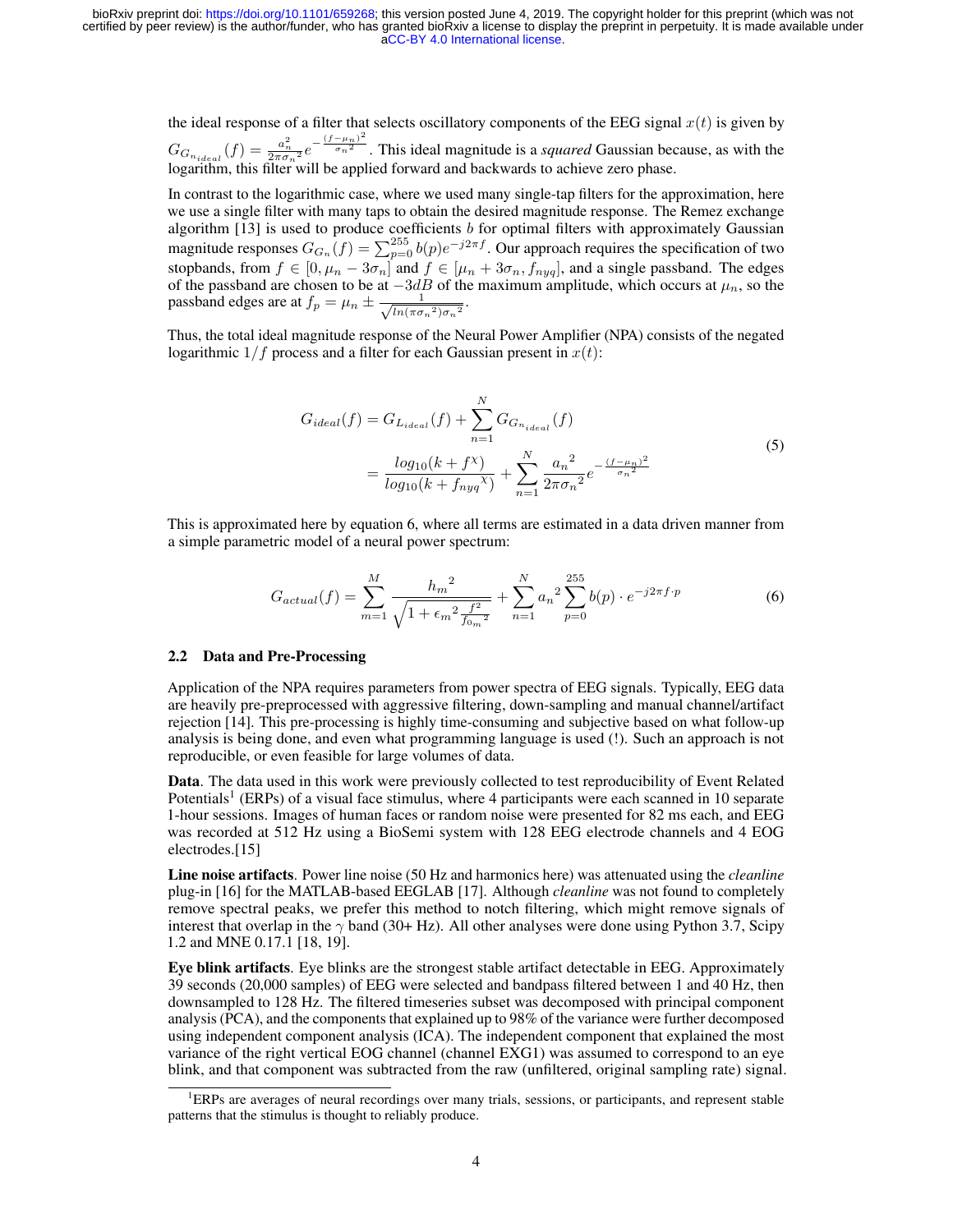the ideal response of a filter that selects oscillatory components of the EEG signal  $x(t)$  is given by  $G_{G_{n_{ideal}}}(f) = \frac{a_n^2}{2\pi\sigma_n^2} e^{-\frac{(f-\mu_n)^2}{\sigma_n^2}}$  $\sqrt[n]{\sigma_n^2}$ . This ideal magnitude is a *squared* Gaussian because, as with the logarithm, this filter will be applied forward and backwards to achieve zero phase.

In contrast to the logarithmic case, where we used many single-tap filters for the approximation, here we use a single filter with many taps to obtain the desired magnitude response. The Remez exchange algorithm  $[13]$  is used to produce coefficients b for optimal filters with approximately Gaussian magnitude responses  $G_{G_n}(f) = \sum_{p=0}^{255} b(p) e^{-j2\pi f}$ . Our approach requires the specification of two stopbands, from  $f \in [0, \mu_n - 3\sigma_n]$  and  $f \in [\mu_n + 3\sigma_n, f_{nyq}]$ , and a single passband. The edges of the passband are chosen to be at  $-3dB$  of the maximum amplitude, which occurs at  $\mu_n$ , so the passband edges are at  $f_p = \mu_n \pm \frac{1}{\sqrt{\ln(\pi \sigma)}}$  $\frac{1}{\ln(\pi {\sigma_n}^2){\sigma_n}^2}$ .

Thus, the total ideal magnitude response of the Neural Power Amplifier (NPA) consists of the negated logarithmic  $1/f$  process and a filter for each Gaussian present in  $x(t)$ :

$$
G_{ideal}(f) = G_{L_{ideal}}(f) + \sum_{n=1}^{N} G_{G_{n_{ideal}}}(f)
$$
  
= 
$$
\frac{log_{10}(k + f^{\chi})}{log_{10}(k + f_{nyq}^{\chi})} + \sum_{n=1}^{N} \frac{a_n^2}{2\pi \sigma_n^2} e^{-\frac{(f - \mu_n)^2}{\sigma_n^2}}
$$
(5)

This is approximated here by equation 6, where all terms are estimated in a data driven manner from a simple parametric model of a neural power spectrum:

$$
G_{actual}(f) = \sum_{m=1}^{M} \frac{h_m^2}{\sqrt{1 + \epsilon_m^2 \frac{f^2}{f_{0m}^2}}} + \sum_{n=1}^{N} a_n^2 \sum_{p=0}^{255} b(p) \cdot e^{-j2\pi f \cdot p}
$$
(6)

#### 2.2 Data and Pre-Processing

Application of the NPA requires parameters from power spectra of EEG signals. Typically, EEG data are heavily pre-preprocessed with aggressive filtering, down-sampling and manual channel/artifact rejection [14]. This pre-processing is highly time-consuming and subjective based on what follow-up analysis is being done, and even what programming language is used (!). Such an approach is not reproducible, or even feasible for large volumes of data.

Data. The data used in this work were previously collected to test reproducibility of Event Related Potentials<sup>1</sup> (ERPs) of a visual face stimulus, where 4 participants were each scanned in 10 separate 1-hour sessions. Images of human faces or random noise were presented for 82 ms each, and EEG was recorded at 512 Hz using a BioSemi system with 128 EEG electrode channels and 4 EOG electrodes.[15]

Line noise artifacts. Power line noise (50 Hz and harmonics here) was attenuated using the *cleanline* plug-in [16] for the MATLAB-based EEGLAB [17]. Although *cleanline* was not found to completely remove spectral peaks, we prefer this method to notch filtering, which might remove signals of interest that overlap in the  $\gamma$  band (30+ Hz). All other analyses were done using Python 3.7, Scipy 1.2 and MNE 0.17.1 [18, 19].

Eye blink artifacts. Eye blinks are the strongest stable artifact detectable in EEG. Approximately 39 seconds (20,000 samples) of EEG were selected and bandpass filtered between 1 and 40 Hz, then downsampled to 128 Hz. The filtered timeseries subset was decomposed with principal component analysis (PCA), and the components that explained up to 98% of the variance were further decomposed using independent component analysis (ICA). The independent component that explained the most variance of the right vertical EOG channel (channel EXG1) was assumed to correspond to an eye blink, and that component was subtracted from the raw (unfiltered, original sampling rate) signal.

<sup>1</sup>ERPs are averages of neural recordings over many trials, sessions, or participants, and represent stable patterns that the stimulus is thought to reliably produce.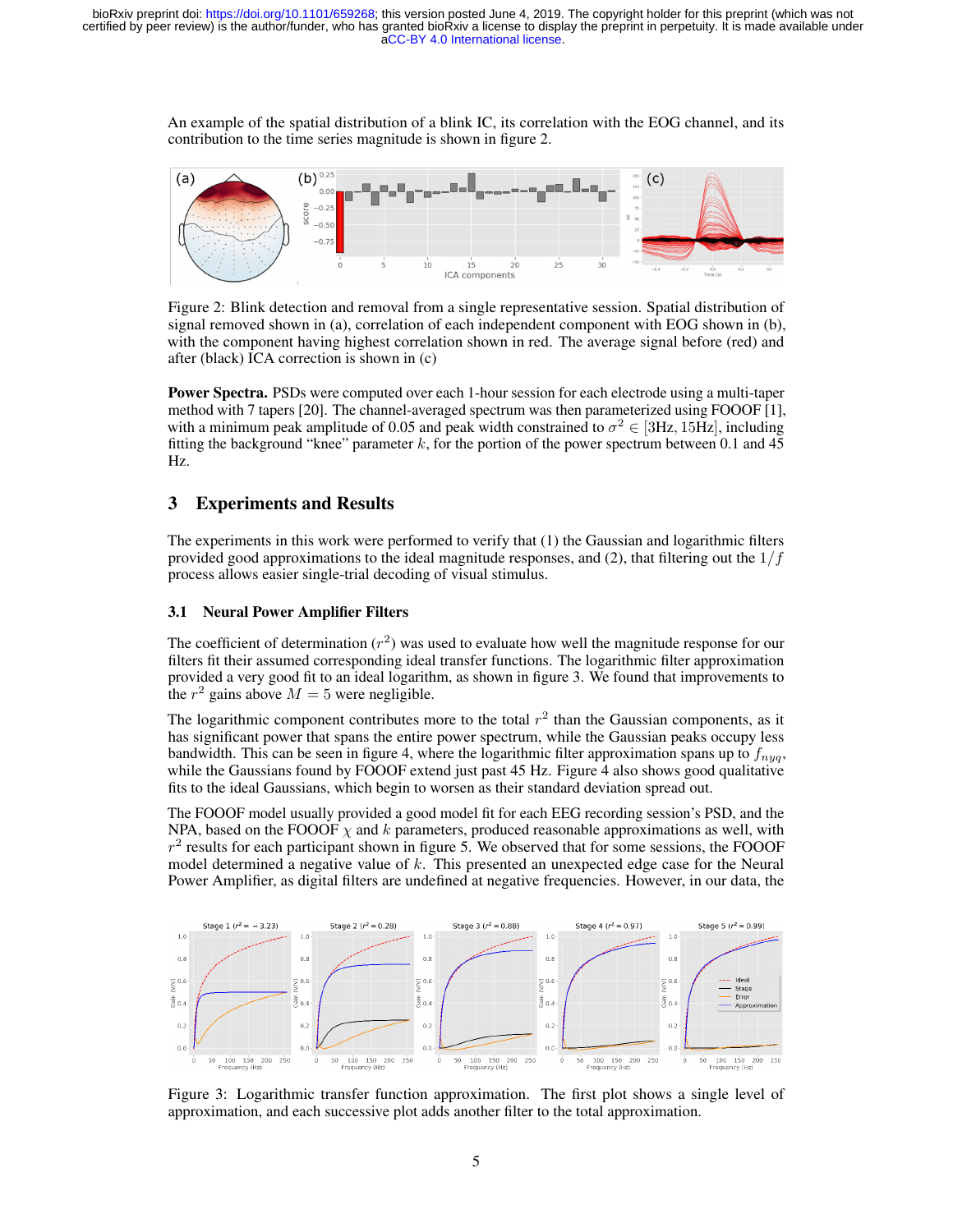An example of the spatial distribution of a blink IC, its correlation with the EOG channel, and its contribution to the time series magnitude is shown in figure 2.



Figure 2: Blink detection and removal from a single representative session. Spatial distribution of signal removed shown in (a), correlation of each independent component with EOG shown in (b), with the component having highest correlation shown in red. The average signal before (red) and after (black) ICA correction is shown in (c)

Power Spectra. PSDs were computed over each 1-hour session for each electrode using a multi-taper method with 7 tapers [20]. The channel-averaged spectrum was then parameterized using FOOOF [1], with a minimum peak amplitude of 0.05 and peak width constrained to  $\sigma^2 \in [3Hz, 15Hz]$ , including fitting the background "knee" parameter  $k$ , for the portion of the power spectrum between 0.1 and 45 Hz.

# 3 Experiments and Results

The experiments in this work were performed to verify that (1) the Gaussian and logarithmic filters provided good approximations to the ideal magnitude responses, and (2), that filtering out the  $1/f$ process allows easier single-trial decoding of visual stimulus.

### 3.1 Neural Power Amplifier Filters

The coefficient of determination  $(r^2)$  was used to evaluate how well the magnitude response for our filters fit their assumed corresponding ideal transfer functions. The logarithmic filter approximation provided a very good fit to an ideal logarithm, as shown in figure 3. We found that improvements to the  $r^2$  gains above  $M = 5$  were negligible.

The logarithmic component contributes more to the total  $r^2$  than the Gaussian components, as it has significant power that spans the entire power spectrum, while the Gaussian peaks occupy less bandwidth. This can be seen in figure 4, where the logarithmic filter approximation spans up to  $f_{nua}$ , while the Gaussians found by FOOOF extend just past 45 Hz. Figure 4 also shows good qualitative fits to the ideal Gaussians, which begin to worsen as their standard deviation spread out.

The FOOOF model usually provided a good model fit for each EEG recording session's PSD, and the NPA, based on the FOOOF  $\chi$  and k parameters, produced reasonable approximations as well, with  $r<sup>2</sup>$  results for each participant shown in figure 5. We observed that for some sessions, the FOOOF model determined a negative value of  $k$ . This presented an unexpected edge case for the Neural Power Amplifier, as digital filters are undefined at negative frequencies. However, in our data, the



Figure 3: Logarithmic transfer function approximation. The first plot shows a single level of approximation, and each successive plot adds another filter to the total approximation.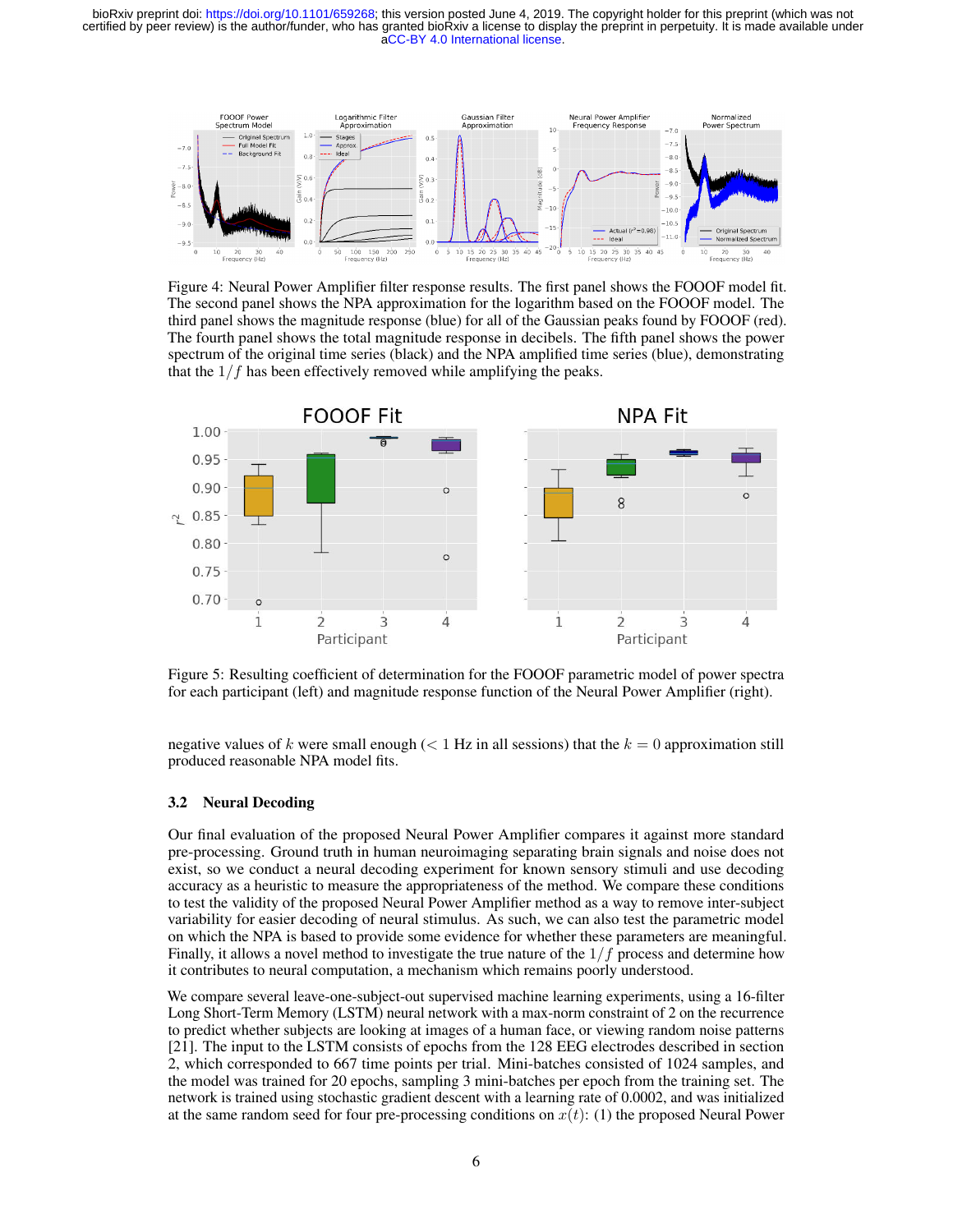[aCC-BY 4.0 International license.](http://creativecommons.org/licenses/by/4.0/) certified by peer review) is the author/funder, who has granted bioRxiv a license to display the preprint in perpetuity. It is made available under bioRxiv preprint doi: [https://doi.org/10.1101/659268;](https://doi.org/10.1101/659268) this version posted June 4, 2019. The copyright holder for this preprint (which was not



Figure 4: Neural Power Amplifier filter response results. The first panel shows the FOOOF model fit. The second panel shows the NPA approximation for the logarithm based on the FOOOF model. The third panel shows the magnitude response (blue) for all of the Gaussian peaks found by FOOOF (red). The fourth panel shows the total magnitude response in decibels. The fifth panel shows the power spectrum of the original time series (black) and the NPA amplified time series (blue), demonstrating that the  $1/f$  has been effectively removed while amplifying the peaks.



Figure 5: Resulting coefficient of determination for the FOOOF parametric model of power spectra for each participant (left) and magnitude response function of the Neural Power Amplifier (right).

negative values of k were small enough ( $\lt 1$  Hz in all sessions) that the  $k = 0$  approximation still produced reasonable NPA model fits.

#### 3.2 Neural Decoding

Our final evaluation of the proposed Neural Power Amplifier compares it against more standard pre-processing. Ground truth in human neuroimaging separating brain signals and noise does not exist, so we conduct a neural decoding experiment for known sensory stimuli and use decoding accuracy as a heuristic to measure the appropriateness of the method. We compare these conditions to test the validity of the proposed Neural Power Amplifier method as a way to remove inter-subject variability for easier decoding of neural stimulus. As such, we can also test the parametric model on which the NPA is based to provide some evidence for whether these parameters are meaningful. Finally, it allows a novel method to investigate the true nature of the  $1/f$  process and determine how it contributes to neural computation, a mechanism which remains poorly understood.

We compare several leave-one-subject-out supervised machine learning experiments, using a 16-filter Long Short-Term Memory (LSTM) neural network with a max-norm constraint of 2 on the recurrence to predict whether subjects are looking at images of a human face, or viewing random noise patterns [21]. The input to the LSTM consists of epochs from the 128 EEG electrodes described in section 2, which corresponded to 667 time points per trial. Mini-batches consisted of 1024 samples, and the model was trained for 20 epochs, sampling 3 mini-batches per epoch from the training set. The network is trained using stochastic gradient descent with a learning rate of 0.0002, and was initialized at the same random seed for four pre-processing conditions on  $x(t)$ : (1) the proposed Neural Power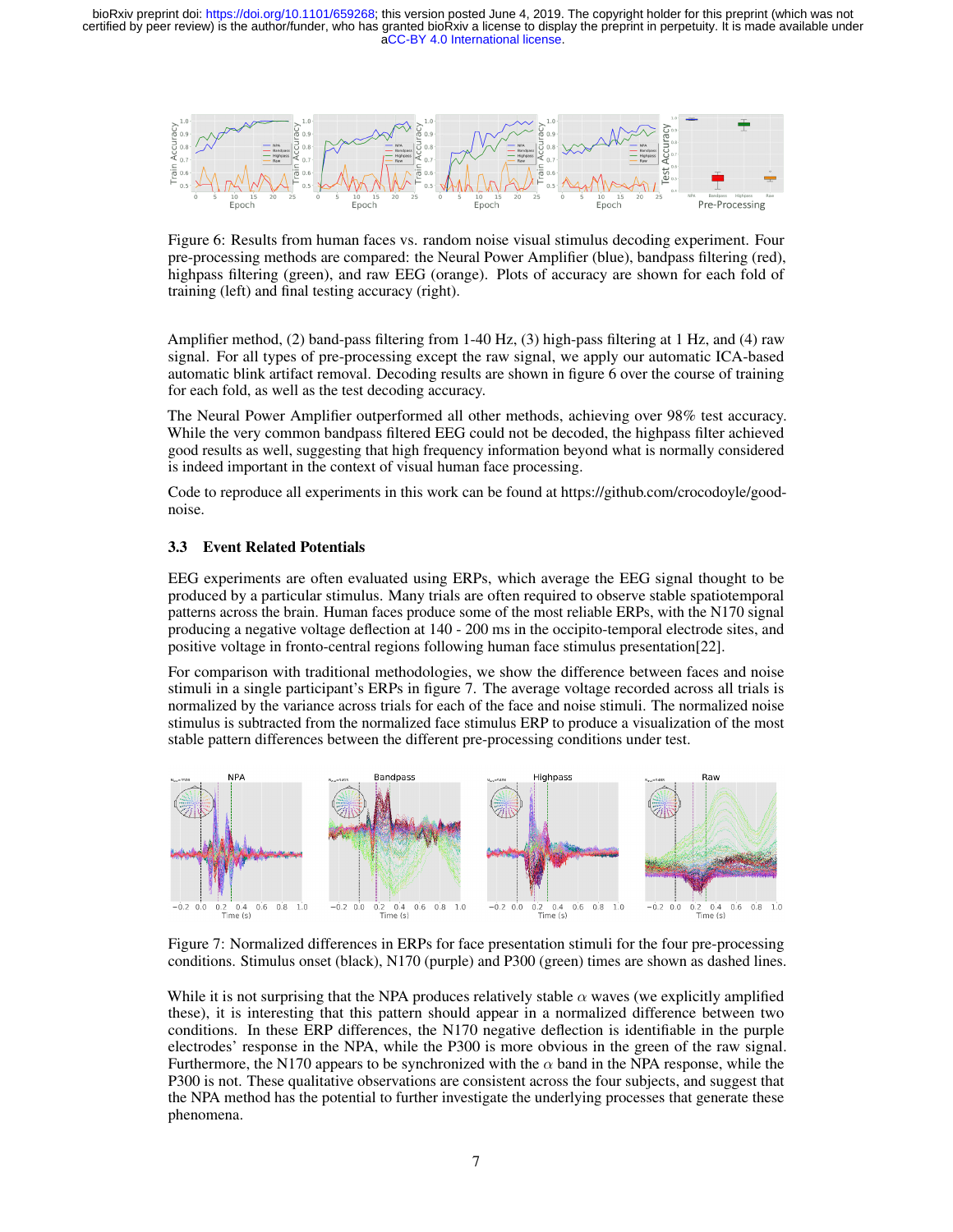

Figure 6: Results from human faces vs. random noise visual stimulus decoding experiment. Four pre-processing methods are compared: the Neural Power Amplifier (blue), bandpass filtering (red), highpass filtering (green), and raw EEG (orange). Plots of accuracy are shown for each fold of training (left) and final testing accuracy (right).

Amplifier method, (2) band-pass filtering from 1-40 Hz, (3) high-pass filtering at 1 Hz, and (4) raw signal. For all types of pre-processing except the raw signal, we apply our automatic ICA-based automatic blink artifact removal. Decoding results are shown in figure 6 over the course of training for each fold, as well as the test decoding accuracy.

The Neural Power Amplifier outperformed all other methods, achieving over 98% test accuracy. While the very common bandpass filtered EEG could not be decoded, the highpass filter achieved good results as well, suggesting that high frequency information beyond what is normally considered is indeed important in the context of visual human face processing.

Code to reproduce all experiments in this work can be found at https://github.com/crocodoyle/goodnoise.

#### 3.3 Event Related Potentials

EEG experiments are often evaluated using ERPs, which average the EEG signal thought to be produced by a particular stimulus. Many trials are often required to observe stable spatiotemporal patterns across the brain. Human faces produce some of the most reliable ERPs, with the N170 signal producing a negative voltage deflection at 140 - 200 ms in the occipito-temporal electrode sites, and positive voltage in fronto-central regions following human face stimulus presentation[22].

For comparison with traditional methodologies, we show the difference between faces and noise stimuli in a single participant's ERPs in figure 7. The average voltage recorded across all trials is normalized by the variance across trials for each of the face and noise stimuli. The normalized noise stimulus is subtracted from the normalized face stimulus ERP to produce a visualization of the most stable pattern differences between the different pre-processing conditions under test.



Figure 7: Normalized differences in ERPs for face presentation stimuli for the four pre-processing conditions. Stimulus onset (black), N170 (purple) and P300 (green) times are shown as dashed lines.

While it is not surprising that the NPA produces relatively stable  $\alpha$  waves (we explicitly amplified these), it is interesting that this pattern should appear in a normalized difference between two conditions. In these ERP differences, the N170 negative deflection is identifiable in the purple electrodes' response in the NPA, while the P300 is more obvious in the green of the raw signal. Furthermore, the N170 appears to be synchronized with the  $\alpha$  band in the NPA response, while the P300 is not. These qualitative observations are consistent across the four subjects, and suggest that the NPA method has the potential to further investigate the underlying processes that generate these phenomena.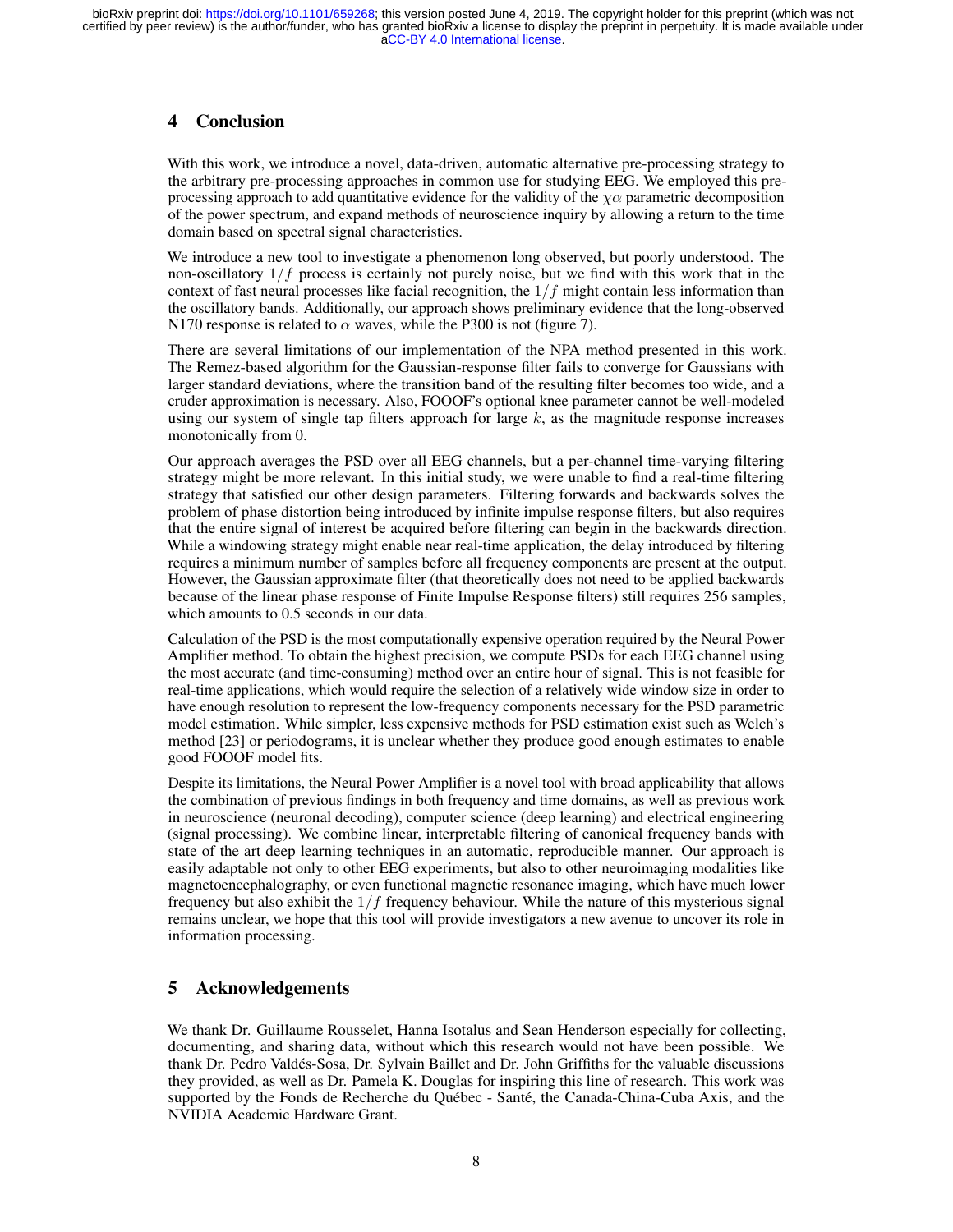# 4 Conclusion

With this work, we introduce a novel, data-driven, automatic alternative pre-processing strategy to the arbitrary pre-processing approaches in common use for studying EEG. We employed this preprocessing approach to add quantitative evidence for the validity of the  $\chi\alpha$  parametric decomposition of the power spectrum, and expand methods of neuroscience inquiry by allowing a return to the time domain based on spectral signal characteristics.

We introduce a new tool to investigate a phenomenon long observed, but poorly understood. The non-oscillatory  $1/f$  process is certainly not purely noise, but we find with this work that in the context of fast neural processes like facial recognition, the  $1/f$  might contain less information than the oscillatory bands. Additionally, our approach shows preliminary evidence that the long-observed N170 response is related to  $\alpha$  waves, while the P300 is not (figure 7).

There are several limitations of our implementation of the NPA method presented in this work. The Remez-based algorithm for the Gaussian-response filter fails to converge for Gaussians with larger standard deviations, where the transition band of the resulting filter becomes too wide, and a cruder approximation is necessary. Also, FOOOF's optional knee parameter cannot be well-modeled using our system of single tap filters approach for large  $k$ , as the magnitude response increases monotonically from 0.

Our approach averages the PSD over all EEG channels, but a per-channel time-varying filtering strategy might be more relevant. In this initial study, we were unable to find a real-time filtering strategy that satisfied our other design parameters. Filtering forwards and backwards solves the problem of phase distortion being introduced by infinite impulse response filters, but also requires that the entire signal of interest be acquired before filtering can begin in the backwards direction. While a windowing strategy might enable near real-time application, the delay introduced by filtering requires a minimum number of samples before all frequency components are present at the output. However, the Gaussian approximate filter (that theoretically does not need to be applied backwards because of the linear phase response of Finite Impulse Response filters) still requires 256 samples, which amounts to 0.5 seconds in our data.

Calculation of the PSD is the most computationally expensive operation required by the Neural Power Amplifier method. To obtain the highest precision, we compute PSDs for each EEG channel using the most accurate (and time-consuming) method over an entire hour of signal. This is not feasible for real-time applications, which would require the selection of a relatively wide window size in order to have enough resolution to represent the low-frequency components necessary for the PSD parametric model estimation. While simpler, less expensive methods for PSD estimation exist such as Welch's method [23] or periodograms, it is unclear whether they produce good enough estimates to enable good FOOOF model fits.

Despite its limitations, the Neural Power Amplifier is a novel tool with broad applicability that allows the combination of previous findings in both frequency and time domains, as well as previous work in neuroscience (neuronal decoding), computer science (deep learning) and electrical engineering (signal processing). We combine linear, interpretable filtering of canonical frequency bands with state of the art deep learning techniques in an automatic, reproducible manner. Our approach is easily adaptable not only to other EEG experiments, but also to other neuroimaging modalities like magnetoencephalography, or even functional magnetic resonance imaging, which have much lower frequency but also exhibit the  $1/f$  frequency behaviour. While the nature of this mysterious signal remains unclear, we hope that this tool will provide investigators a new avenue to uncover its role in information processing.

# 5 Acknowledgements

We thank Dr. Guillaume Rousselet, Hanna Isotalus and Sean Henderson especially for collecting, documenting, and sharing data, without which this research would not have been possible. We thank Dr. Pedro Valdés-Sosa, Dr. Sylvain Baillet and Dr. John Griffiths for the valuable discussions they provided, as well as Dr. Pamela K. Douglas for inspiring this line of research. This work was supported by the Fonds de Recherche du Québec - Santé, the Canada-China-Cuba Axis, and the NVIDIA Academic Hardware Grant.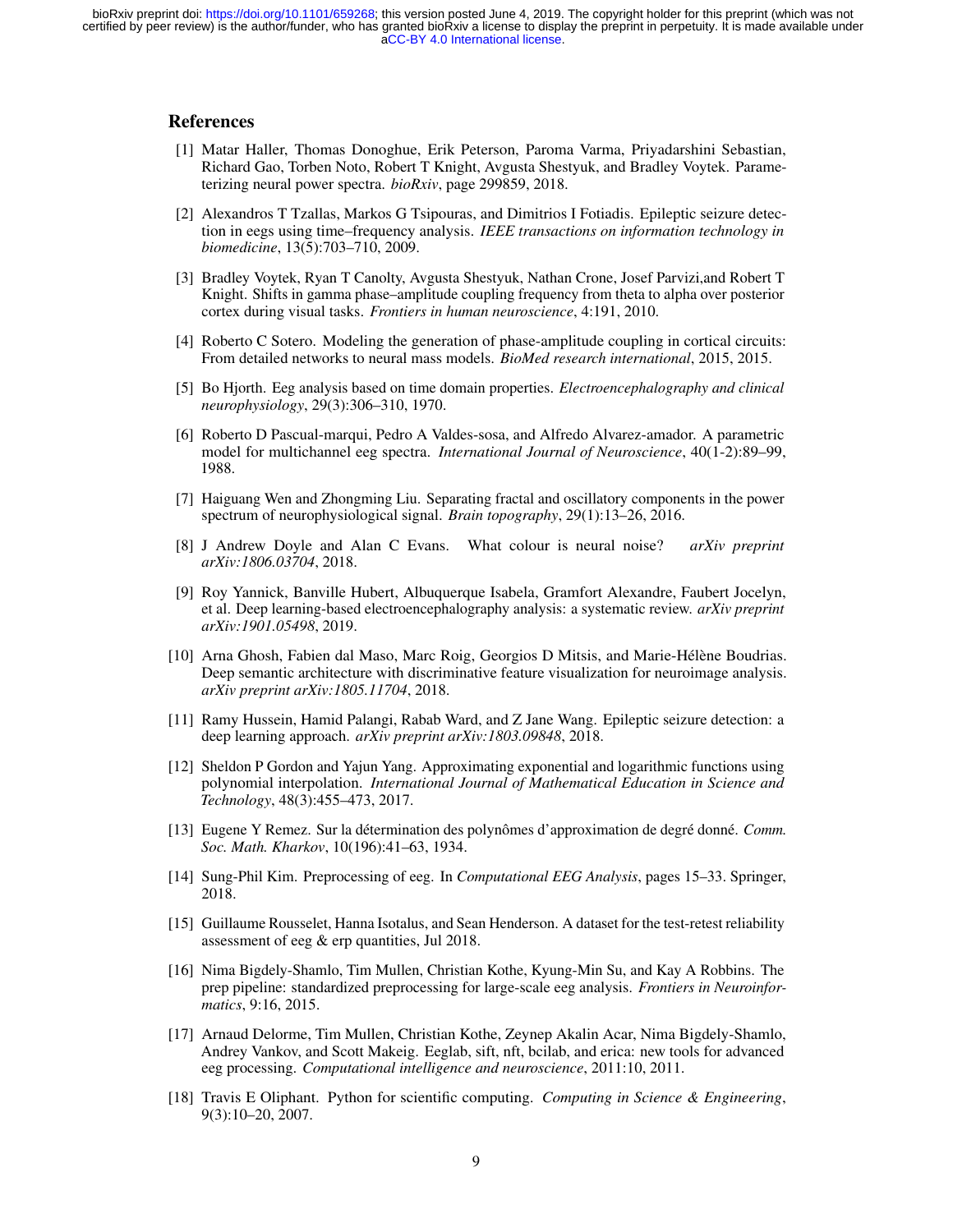#### References

- [1] Matar Haller, Thomas Donoghue, Erik Peterson, Paroma Varma, Priyadarshini Sebastian, Richard Gao, Torben Noto, Robert T Knight, Avgusta Shestyuk, and Bradley Voytek. Parameterizing neural power spectra. *bioRxiv*, page 299859, 2018.
- [2] Alexandros T Tzallas, Markos G Tsipouras, and Dimitrios I Fotiadis. Epileptic seizure detection in eegs using time–frequency analysis. *IEEE transactions on information technology in biomedicine*, 13(5):703–710, 2009.
- [3] Bradley Voytek, Ryan T Canolty, Avgusta Shestyuk, Nathan Crone, Josef Parvizi,and Robert T Knight. Shifts in gamma phase–amplitude coupling frequency from theta to alpha over posterior cortex during visual tasks. *Frontiers in human neuroscience*, 4:191, 2010.
- [4] Roberto C Sotero. Modeling the generation of phase-amplitude coupling in cortical circuits: From detailed networks to neural mass models. *BioMed research international*, 2015, 2015.
- [5] Bo Hjorth. Eeg analysis based on time domain properties. *Electroencephalography and clinical neurophysiology*, 29(3):306–310, 1970.
- [6] Roberto D Pascual-marqui, Pedro A Valdes-sosa, and Alfredo Alvarez-amador. A parametric model for multichannel eeg spectra. *International Journal of Neuroscience*, 40(1-2):89–99, 1988.
- [7] Haiguang Wen and Zhongming Liu. Separating fractal and oscillatory components in the power spectrum of neurophysiological signal. *Brain topography*, 29(1):13–26, 2016.
- [8] J Andrew Doyle and Alan C Evans. What colour is neural noise? *arXiv preprint arXiv:1806.03704*, 2018.
- [9] Roy Yannick, Banville Hubert, Albuquerque Isabela, Gramfort Alexandre, Faubert Jocelyn, et al. Deep learning-based electroencephalography analysis: a systematic review. *arXiv preprint arXiv:1901.05498*, 2019.
- [10] Arna Ghosh, Fabien dal Maso, Marc Roig, Georgios D Mitsis, and Marie-Hélène Boudrias. Deep semantic architecture with discriminative feature visualization for neuroimage analysis. *arXiv preprint arXiv:1805.11704*, 2018.
- [11] Ramy Hussein, Hamid Palangi, Rabab Ward, and Z Jane Wang. Epileptic seizure detection: a deep learning approach. *arXiv preprint arXiv:1803.09848*, 2018.
- [12] Sheldon P Gordon and Yajun Yang. Approximating exponential and logarithmic functions using polynomial interpolation. *International Journal of Mathematical Education in Science and Technology*, 48(3):455–473, 2017.
- [13] Eugene Y Remez. Sur la détermination des polynômes d'approximation de degré donné. *Comm. Soc. Math. Kharkov*, 10(196):41–63, 1934.
- [14] Sung-Phil Kim. Preprocessing of eeg. In *Computational EEG Analysis*, pages 15–33. Springer, 2018.
- [15] Guillaume Rousselet, Hanna Isotalus, and Sean Henderson. A dataset for the test-retest reliability assessment of eeg & erp quantities, Jul 2018.
- [16] Nima Bigdely-Shamlo, Tim Mullen, Christian Kothe, Kyung-Min Su, and Kay A Robbins. The prep pipeline: standardized preprocessing for large-scale eeg analysis. *Frontiers in Neuroinformatics*, 9:16, 2015.
- [17] Arnaud Delorme, Tim Mullen, Christian Kothe, Zeynep Akalin Acar, Nima Bigdely-Shamlo, Andrey Vankov, and Scott Makeig. Eeglab, sift, nft, bcilab, and erica: new tools for advanced eeg processing. *Computational intelligence and neuroscience*, 2011:10, 2011.
- [18] Travis E Oliphant. Python for scientific computing. *Computing in Science & Engineering*, 9(3):10–20, 2007.